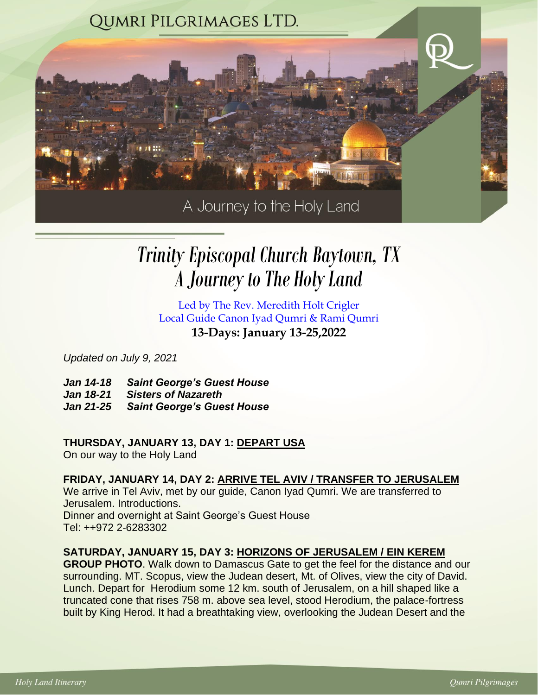

# *A Journey to The Holy Land Trinity Episcopal Church Baytown, TX*

Led by The Rev. Meredith Holt Crigler Local Guide Canon Iyad Qumri & Rami Qumri **13-Days: January 13-25,2022**

*Updated on July 9, 2021* 

- *Jan 14-18 Saint George's Guest House*
- *Jan 18-21 Sisters of Nazareth*
- *Jan 21-25 Saint George's Guest House*

# **THURSDAY, JANUARY 13, DAY 1: DEPART USA**

On our way to the Holy Land

# **FRIDAY, JANUARY 14, DAY 2: ARRIVE TEL AVIV / TRANSFER TO JERUSALEM**

We arrive in Tel Aviv, met by our guide, Canon Iyad Qumri. We are transferred to Jerusalem. Introductions. Dinner and overnight at Saint George's Guest House Tel: ++972 2-6283302

# **SATURDAY, JANUARY 15, DAY 3: HORIZONS OF JERUSALEM / EIN KEREM**

**GROUP PHOTO**. Walk down to Damascus Gate to get the feel for the distance and our surrounding. MT. Scopus, view the Judean desert, Mt. of Olives, view the city of David. Lunch. Depart for Herodium some 12 km. south of [Jerusalem,](http://www.jewishvirtuallibrary.org/jsource/Peace/jerutoc.html) on a hill shaped like a truncated cone that rises 758 m. above sea level, stood Herodium, the palace-fortress built by [King Herod.](http://www.jewishvirtuallibrary.org/jsource/biography/Herod.html) It had a breathtaking view, overlooking the Judean Desert and the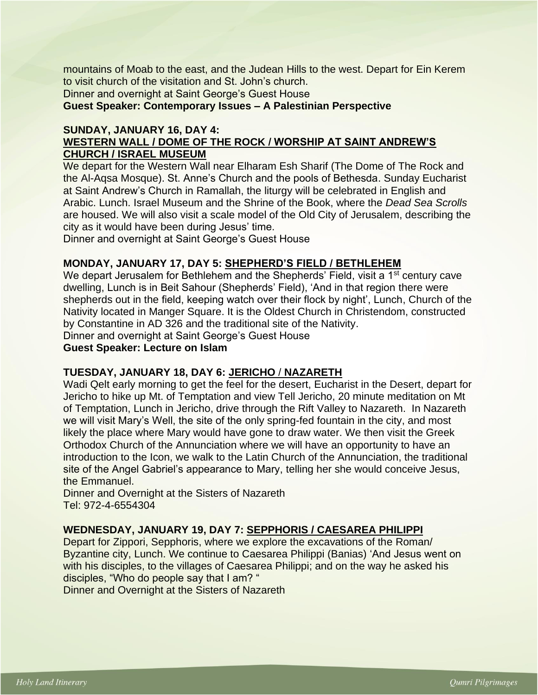mountains of Moab to the east, and the Judean Hills to the west. Depart for Ein Kerem to visit church of the visitation and St. John's church.

Dinner and overnight at Saint George's Guest House

**Guest Speaker: Contemporary Issues – A Palestinian Perspective**

#### **SUNDAY, JANUARY 16, DAY 4: WESTERN WALL / DOME OF THE ROCK / WORSHIP AT SAINT ANDREW'S CHURCH / ISRAEL MUSEUM**

We depart for the Western Wall near Elharam Esh Sharif (The Dome of The Rock and the Al-Aqsa Mosque). St. Anne's Church and the pools of Bethesda. Sunday Eucharist at Saint Andrew's Church in Ramallah, the liturgy will be celebrated in English and Arabic. Lunch. Israel Museum and the Shrine of the Book, where the *Dead Sea Scrolls*  are housed. We will also visit a scale model of the Old City of Jerusalem, describing the city as it would have been during Jesus' time.

Dinner and overnight at Saint George's Guest House

#### **MONDAY, JANUARY 17, DAY 5: SHEPHERD'S FIELD / BETHLEHEM**

We depart Jerusalem for Bethlehem and the Shepherds' Field, visit a 1<sup>st</sup> century cave dwelling, Lunch is in Beit Sahour (Shepherds' Field), 'And in that region there were shepherds out in the field, keeping watch over their flock by night', Lunch, Church of the Nativity located in Manger Square. It is the Oldest Church in Christendom, constructed by Constantine in AD 326 and the traditional site of the Nativity.

Dinner and overnight at Saint George's Guest House

**Guest Speaker: Lecture on Islam**

#### **TUESDAY, JANUARY 18, DAY 6: JERICHO** / **NAZARETH**

Wadi Qelt early morning to get the feel for the desert, Eucharist in the Desert, depart for Jericho to hike up Mt. of Temptation and view Tell Jericho, 20 minute meditation on Mt of Temptation, Lunch in Jericho, drive through the Rift Valley to Nazareth. In Nazareth we will visit Mary's Well, the site of the only spring-fed fountain in the city, and most likely the place where Mary would have gone to draw water. We then visit the Greek Orthodox Church of the Annunciation where we will have an opportunity to have an introduction to the Icon, we walk to the Latin Church of the Annunciation, the traditional site of the Angel Gabriel's appearance to Mary, telling her she would conceive Jesus, the Emmanuel.

Dinner and Overnight at the Sisters of Nazareth Tel: 972-4-6554304

#### **WEDNESDAY, JANUARY 19, DAY 7: SEPPHORIS / CAESAREA PHILIPPI**

Depart for Zippori, Sepphoris, where we explore the excavations of the Roman/ Byzantine city, Lunch. We continue to Caesarea Philippi (Banias) 'And Jesus went on with his disciples, to the villages of Caesarea Philippi; and on the way he asked his disciples, "Who do people say that I am? "

Dinner and Overnight at the Sisters of Nazareth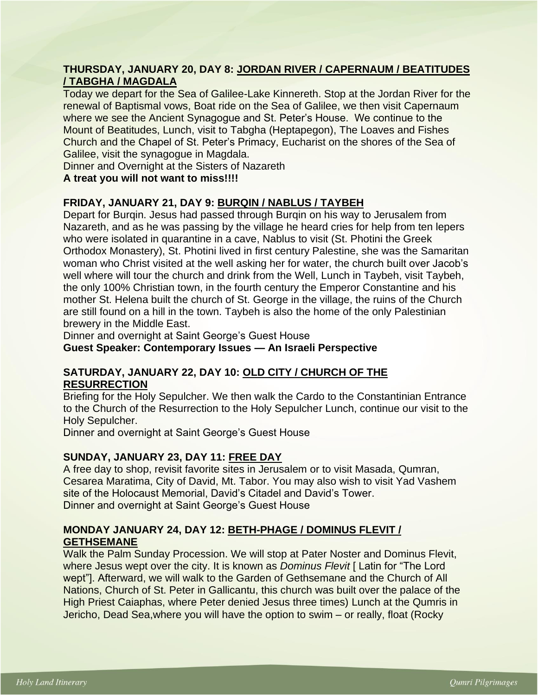# **THURSDAY, JANUARY 20, DAY 8: JORDAN RIVER / CAPERNAUM / BEATITUDES / TABGHA / MAGDALA**

Today we depart for the Sea of Galilee-Lake Kinnereth. Stop at the Jordan River for the renewal of Baptismal vows, Boat ride on the Sea of Galilee, we then visit Capernaum where we see the Ancient Synagogue and St. Peter's House. We continue to the Mount of Beatitudes, Lunch, visit to Tabgha (Heptapegon), The Loaves and Fishes Church and the Chapel of St. Peter's Primacy, Eucharist on the shores of the Sea of Galilee, visit the synagogue in Magdala.

Dinner and Overnight at the Sisters of Nazareth

#### **A treat you will not want to miss!!!!**

# **FRIDAY, JANUARY 21, DAY 9: BURQIN / NABLUS / TAYBEH**

Depart for Burqin. Jesus had passed through Burqin on his way to Jerusalem from Nazareth, and as he was passing by the village he heard cries for help from ten lepers who were isolated in quarantine in a cave, Nablus to visit (St. Photini the Greek Orthodox Monastery), St. Photini lived in first century Palestine, she was the Samaritan woman who Christ visited at the well asking her for water, the church built over Jacob's well where will tour the church and drink from the Well, Lunch in Taybeh, visit Taybeh, the only 100% Christian town, in the fourth century the Emperor Constantine and his mother St. Helena built the church of St. George in the village, the ruins of the Church are still found on a hill in the town. Taybeh is also the home of the only Palestinian brewery in the Middle East.

Dinner and overnight at Saint George's Guest House **Guest Speaker: Contemporary Issues — An Israeli Perspective** 

# **SATURDAY, JANUARY 22, DAY 10: OLD CITY / CHURCH OF THE RESURRECTION**

Briefing for the Holy Sepulcher. We then walk the Cardo to the Constantinian Entrance to the Church of the Resurrection to the Holy Sepulcher Lunch, continue our visit to the Holy Sepulcher.

Dinner and overnight at Saint George's Guest House

# **SUNDAY, JANUARY 23, DAY 11: FREE DAY**

A free day to shop, revisit favorite sites in Jerusalem or to visit Masada, Qumran, Cesarea Maratima, City of David, Mt. Tabor. You may also wish to visit Yad Vashem site of the Holocaust Memorial, David's Citadel and David's Tower. Dinner and overnight at Saint George's Guest House

# **MONDAY JANUARY 24, DAY 12: BETH-PHAGE / DOMINUS FLEVIT / GETHSEMANE**

Walk the Palm Sunday Procession. We will stop at Pater Noster and Dominus Flevit, where Jesus wept over the city. It is known as *Dominus Flevit* [ Latin for "The Lord wept"]. Afterward, we will walk to the Garden of Gethsemane and the Church of All Nations, Church of St. Peter in Gallicantu, this church was built over the palace of the High Priest Caiaphas, where Peter denied Jesus three times) Lunch at the Qumris in Jericho, Dead Sea,where you will have the option to swim – or really, float (Rocky